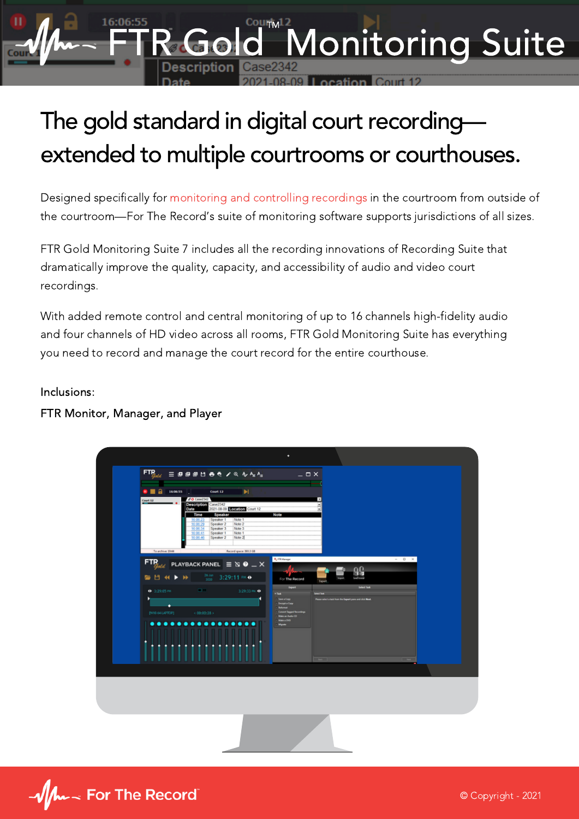## The gold standard in digital court recordingextended to multiple courtrooms or courthouses.

Courty12

Monitoring Suite

Designed specifically for monitoring and controlling recordings in the courtroom from outside of the courtroom—For The Record's suite of monitoring software supports jurisdictions of all sizes.

FTR Gold Monitoring Suite 7 includes all the recording innovations of [Recording](https://content.fortherecord.com/ftr-gold-recording-suite/) Suite that dramatically improve the quality, capacity, and accessibility of audio and video court recordings.

With added remote control and central monitoring of up to 16 channels high-fidelity audio and four channels of HD video across all rooms, FTR Gold Monitoring Suite has everything you need to record and manage the court record for the entire courthouse.

## Inclusions:

FTR Monitor, Manager, and Player